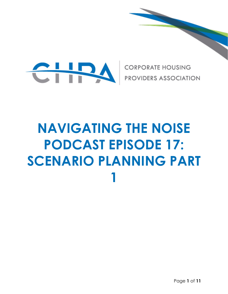

**CORPORATE HOUSING PROVIDERS ASSOCIATION** 

# **NAVIGATING THE NOISE PODCAST EPISODE 17: SCENARIO PLANNING PART 1**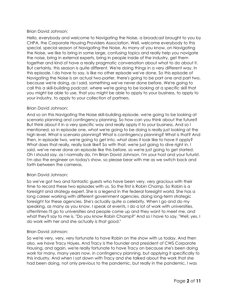# Brian David Johnson:

Hello, everybody and welcome to Navigating the Noise, a broadcast brought to you by CHPA, the Corporate Housing Providers Association. Well, welcome everybody to this special, special season of Navigating the Noise. As many of you know, on Navigating the Noise, we like to bring in some large, confusing topics and really help you navigate the noise, bring in external experts, bring in people inside of the industry, get them together and kind of have a really pragmatic conversation about what to do about it. But certainly, this season is quite different. We're doing things in a very different way. In this episode, I do have to say, is like no other episode we've done. So this episode of Navigating the Noise is an actual two-parter, there's going to be part one and part two, because we're doing, as I said, something we've never done before. We're going to call this a skill-building podcast, where we're going to be looking at a specific skill that you might be able to use, that you might be able to apply to your business, to apply to your industry, to apply to your collection of partners.

## Brian David Johnson:

And so on this Navigating the Noise skill-building episode, we're going to be looking at scenario planning and contingency planning. So how can you think about the future? But think about it in a very specific way and really apply it to your business. And so I mentioned, so in episode one, what we're going to be doing is really just looking at the high level. What is scenario planning? What is contingency planning? What is that? And then, in episode two, we're going to get into, what does it look like to have it apply? What does that really, really look like? So with that, we're just going to dive right in. I said, we've never done an episode like this before, so we're just going to get started. Oh I should say, as I normally do, I'm Brian David Johnson, I'm your host and your futurist. I'm also the engineer on today's show, so please bear with me as we switch back and forth between the cameras.

#### Brian David Johnson:

So we've got two and fantastic guests who have been very, very gracious with their time to record these two episodes with us. So the first is Robin Champ. So Robin is a foresight and strategy expert. She is a legend in the federal foresight world. She has a long career working with different government agencies, doing long-term strategic foresight for these agencies. She's actually quite a celebrity. When I go and do my speaking, as many as you know, I speak at events, I do a lot of work with universities, oftentimes I'll go to universities and people come up and they want to meet me, and what they'll say to me is, "Do you know Robin Champ?" And so I have to say, "Well, yes. I do work with her and she actually is that good."

#### Brian David Johnson:

So we're very, very, very fortunate to have Robin on the show with us today. And then also, we have Tracy Hayes. And Tracy is the founder and president of CWS Corporate Housing, and again, we're really fortunate to have Tracy on because she's been doing work for many, many years now, in contingency planning, but applying it specifically to this industry. And when I sat down with Tracy and she talked about the work that she had been doing, not only previous to the pandemic, but really in the pandemic, I was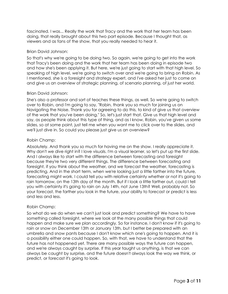fascinated. I was... Really the work that Tracy and the work that her team has been doing, that really brought about this two part episode. Because I thought that, as viewers and as fans of the show, that you really needed to hear it.

## Brian David Johnson:

So that's why we're going to be doing two. So again, we're going to get into the work that Tracy's been doing and the work that her team has been doing in episode two and how she's been applying it. But here, we're just going to start with that high level. So speaking of high level, we're going to switch over and we're going to bring on Robin. As I mentioned, she is a foresight and strategy expert, and I've asked her just to come on and give us an overview of strategic planning, of scenario planning, of just her world.

## Brian David Johnson:

She's also a professor and sort of teaches these things, as well. So we're going to switch over to Robin, and I'm going to say, "Robin, thank you so much for joining us on Navigating the Noise. Thank you for agreeing to do this, to kind of give us that overview of the work that you've been doing." So, let's just start that. Give us that high level and say, as people think about this type of thing, and as I know, Robin, you've given us some slides, so at some point, just tell me when you want me to click over to the slides, and we'll just dive in. So could you please just give us an overview?

## Robin Champ:

Absolutely. And thank you so much for having me on the show. I really appreciate it. Why don't we dive right in? I love visuals. I'm a visual learner, so let's put up the first slide. And I always like to start with the difference between forecasting and foresight because they're two very different things. The difference between forecasting and foresight, if you think about the weather, and we forecast the weather, forecasting is predicting. And in the short term, when we're looking just a little farther into the future, forecasting might work. I could tell you with relative certainty whether or not it's going to rain tomorrow, on the 13th day of the month. But if I look a little farther out, could I tell you with certainty it's going to rain on July 14th, not June 13th? Well, probably not. So your forecast, the farther you look in the future, your ability to forecast or predict is less and less and less.

#### Robin Champ:

So what do we do when we can't just look and predict something? We have to have something called foresight, where we look at the many possible things that could happen and make sure we plan accordingly. So for instance, I don't know if it's going to rain or snow on December 13th or January 13th, but I better be prepared with an umbrella and snow pants because I don't know which one's going to happen. And it is a possibility either one could happen. So, with that, we have to understand that the future has not happened yet. There are many possible ways the future can happen, and we're always caught by surprise. If this year taught us anything, is that we can always be caught by surprise, and the future doesn't always look the way we think, or predict, or forecast it's going to look.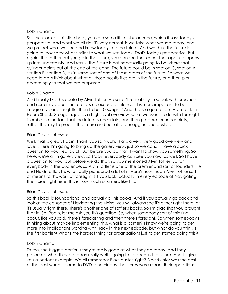# Robin Champ:

So if you look at this slide here, you can see a little tubular cone, which it says today's perspective. And what we all do, it's very normal, is we take what we see today, and we project what we see and know today into the future. And we think the future is going to look somewhat similar to what we see today. That's today's perspective. But again, the farther out you go in the future, you can see that cone, that aperture opens up into uncertainty. And really, the future is not necessarily going to be where that cylinder points out at the end of the cone. The future could be in section C, section A, section B, section D, it's in some sort of one of these areas of the future. So what we need to do is think about what all those possibilities are in the future, and then plan accordingly so that we are prepared.

# Robin Champ:

And I really like this quote by Alvin Toffler. He said, "The inability to speak with precision and certainty about the future is no excuse for silence. It is more important to be imaginative and insightful than to be 100% right." And that's a quote from Alvin Toffler in Future Shock. So again, just as a high level overview, what we want to do with foresight is embrace the fact that the future is uncertain, and then prepare for uncertainty, rather than try to predict the future and put all of our eggs in one basket.

# Brian David Johnson:

Well, that is great, Robin. Thank you so much. That's a very, very good overview and I love... Here, I'm going to bring up the gallery view, just so we can... I have a quick question for you, real quick. But before you do that, I want to show you something. So here, we're all in gallery view. So Tracy, everybody can see you now, as well. So I have a question for you, but before we do that, so you mentioned Alvin Toffler. So for everybody in the audience, so Alvin Toffler is one of the premier and sort of founders. He and Heidi Toffler, his wife, really pioneered a lot of it. Here's how much Alvin Toffler sort of means to this work of foresight is if you look, actually in every episode of Navigating the Noise, right here, this is how much of a nerd like this.

# Brian David Johnson:

So this book is foundational and actually all his books. And if you actually go back and look at the episodes of Navigating the Noise, you will always see it's either right there, or it's usually right there. There's another one of Toffler's books. So I'm glad that you brought that in. So, Robin, let me ask you this question. So, when somebody sort of thinking about, like you said, there's forecasting and then there's foresight. So when somebody's thinking about maybe implementing this, what is a barrier? I know we're going to get more into implications working with Tracy in the next episode, but what do you think is the first barrier? What's the hardest thing for organizations just to get started doing this?

# Robin Champ:

To me, the biggest barrier is they're really good at what they do today. And they projected what they do today really well is going to happen in the future. And I'll give you a perfect example. We all remember Blockbuster, right? Blockbuster was the best of the best when it came to DVDs and videos, the stores were clean, their operations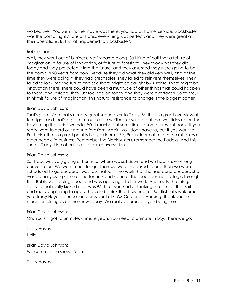worked well. You went in, the movie was there, you had customer service. Blockbuster was the bomb, right? Tons of stores, everything was perfect, and they were great at their operations. But what happened to Blockbuster?

#### Robin Champ:

Well, they went out of business. Netflix came along. So I kind of call that a failure of imagination, a failure of innovation, of failure of foresight. They took what they did today and they projected it into the future, and they assumed they were going to be the bomb in 20 years from now. Because they did what they did very well, and at the time they were doing it, they had great sales. They failed to reinvent themselves. They failed to look into the future and see there might be caught by surprise, there might be innovation there. There could have been a multitude of other things that could happen to them, and instead, they just focused on today and they were overtaken. So to me, I think this failure of imagination, this natural resistance to change is the biggest barrier.

#### Brian David Johnson:

That's great. And that's a really great segue over to Tracy. So that's a great overview of foresight, and that's a great resources, so we'll make sure to put the two slides up on the Navigating the Noise website. We'll maybe put some links to some foresight books if you really want to nerd out around foresight. Again, you don't have to, but if you want to. But I think that's a great point is like you learn... So, Robin, learn also from the mistakes of other people in business. Remember the Blockbusters, remember the Kodaks. And this sort of, Tracy, kind of brings us to our conversation.

#### Brian David Johnson:

So, Tracy was very giving of her time, where we sat down and we had this very long conversation. We went much longer than we were supposed to and than we were scheduled to go because I was fascinated in the work that she had done because she was actually using some of the tenants and some of the ideas behind strategic foresight that Robin was talking about and was applying it to her work. And really the thing, Tracy, is that really kicked it off was 9/11, for you kind of thinking that sort of that shift and really beginning to apply that, and I think that is wonderful. But first, let's welcome you. Tracy Hayes, founder and president of CWS Corporate Housing. Thank you so much for joining us on the show today. We really appreciate you being here.

#### Brian David Johnson:

Oh. You still got to unmute, unmute yeah. You need to unmute, Tracy. There we go.

Tracy Hayes: Hello.

Brian David Johnson: Welcome to the show! Yeah.

Tracy Hayes: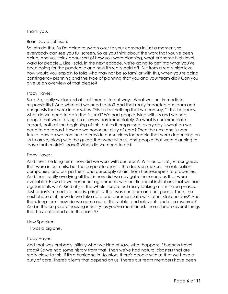## Thank you.

## Brian David Johnson:

So let's do this. So I'm going to switch over to your camera in just a moment, so everybody can see you full screen. So as you think about the work that you've been doing, and you think about sort of how you were planning, what are some high level ways for people... Like I said, in the next episode, we're going to get into what you've been doing for the pandemic and how it's really paid off. But from a really high level, how would you explain to folks who may not be so familiar with this, when you're doing contingency planning and the type of planning that you and your team did? Can you give us an overview of that please?

#### Tracy Hayes:

Sure. So, really we looked at it at three different ways. What was our immediate responsibility? And what did we need to do? And that really impacted our team and our guests that were in our suites. This isn't something that we can say, "If this happens, what do we need to do in the future?" We had people living with us and we had people that were relying on us every day immediately. So what is our immediate impact, both at the beginning of this, but as it progressed, every day is what do we need to do today? How do we honor our duty of care? Then the next one is near future. How do we continue to provide our services for people that were depending on us to arrive, along with the guests that were with us, and people that were planning to leave that couldn't leave? What did we need to do?

#### Tracy Hayes:

And then the long-term, how did we work with our team? With our... Not just our guests that were in our units, but the corporate clients, the decision makers, the relocation companies, and our partners, and our supply chain, from housekeepers to properties. And then, really overlying all that is how did we navigate the resources that were available? How did we honor our agreements with our financial institutions that we had agreements with? Kind of just the whole scope, but really looking at it in three phases. Just today's immediate needs, primarily that was our team and our guests. Then, the next phase of it, how do we take care and communicate with other stakeholders? And then, long-term, how do we come out of this viable, and relevant, and as a resource? And in the corporate housing industry, as you've mentioned, there's been several things that have affected us in the past. 9/.

#### New Speaker:

11 was a big one.

#### Tracy Hayes:

And that was probably initially what we kind of saw, what happens if business travel stops? So we had some history from that. Then we've had natural disasters that are really close to this. If it's a hurricane in Houston, there's people with us that we have a duty of care. There's clients that depend on us. There's our team members have been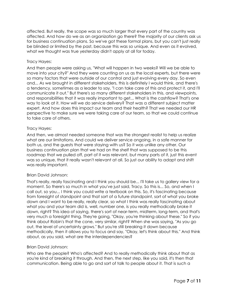affected. But really, the scope was so much larger that every part of the country was affected. And how do we as an organization go there? The majority of our clients ask us for business continuation plans. So we've got these formal plans, but you can't just really be blinded or limited by the past, because this was so unique. And even as it evolved, what we thought was true yesterday didn't apply at all for today.

## Tracy Hayes:

And then people were asking us, "What will happen in two weeks? Will we be able to move into your city?" And they were counting on us as the local experts, but there were so many factors that were outside of our control and just evolving every day. So even and... As we brought in different stakeholders, this is definitely I would think, and there's a tendency, sometimes as a leader to say, "I can take care of this and protect it, and I'll communicate it out." But there's so many different stakeholders in this, and viewpoints, and responsibilities that it was really important to get... What is the cashflow? That's one way to look at it. How will we do service delivery? That was a different subject matter expert. And how does this impact our team and their health? That we needed our HR perspective to make sure we were taking care of our team, so that we could continue to take care of others.

## Tracy Hayes:

And then, we almost needed someone that was the strongest realist to help us realize what are our limitations. And could we deliver service ongoing, in a safe manner for both us, and the guests that were staying with us? So it was unlike any other. Our business continuation plan that we had on the shelf that was supposed to be this roadmap that we pulled off, part of it was relevant, but many parts of it, just this event was so unique, that it really wasn't relevant at all. So just our ability to adapt and shift was really important.

# Brian David Johnson:

That's really, really fascinating and I think you should be... I'll take us to gallery view for a moment. So there's so much in what you've just said, Tracy. So this is... So, and when I call out, so you... I think you could write a textbook on this. So, it's fascinating because from foresight of standpoint and that sort of a future standpoint, sort of what you broke down and I want to be really, really clear, so what I think was really fascinating about what you and your team did is, well, number one, is you really methodically broke it down, right? This idea of saying, there's sort of near-term, midterm, long-term, and that's very much a foresight thing. They're going, "Okay, you're thinking about these." So if you think about Robin's that the cone, very similar, right? When she was saying, "As you go out, the level of uncertainty grows." But you're still breaking it down because methodically, then it allows you to focus and say, "Okay, let's think about this." And think about, as you said, what are the interdependencies?

# Brian David Johnson:

Who are the people? Who's affected? And to really methodically think about that as you're kind of breaking it through. And then, the next step, like you said, it's then that communication. Being able to go and sort of talk to people about it. That is such a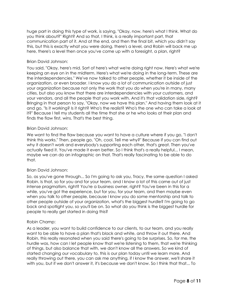huge part in doing this type of work, is saying, "Okay, now, here's what I think. What do you think about?" Right? And so that, I think, is a really important part, that communication part of it. And at the end, and then the final bit, which you didn't say this, but this is exactly what you were doing, there's a level, and Robin will back me up here, there's a level then once you've come up with a foresight, a plan, right?

## Brian David Johnson:

You said, "Okay, here's mid. Sort of here's what we're doing right now. Here's what we're keeping an eye on in the midterm. Here's what we're doing in the long-term. These are the interdependencies." We've now talked to other people, whether it be inside of the organization, or even broader. I know you do a lot of communication outside of just your organization because not only the work that you do when you're in many, many cities, but also you know that there are interdependencies with your customers, and your vendors, and all the people that you work with. And it's that validation side, right? Bringing in that person to say, "Okay, now we have this plan." And having them look at it and go, "Is it working? Is it right? Who's the realist? Who's the one who can take a look at it?" Because I tell my students all the time that she or he who looks at their plan and finds the flaw first, wins. That's the best thing.

## Brian David Johnson:

We want to find the flaw because you want to have a culture where if you go, "I don't think this works." Then, people go, "Oh, cool. Tell me why?" Because if you can find out why it doesn't work and everybody's supporting each other, that's great. Then you've actually fixed it. You've made it even better. So I think that's a really helpful... I mean, maybe we can do an infographic on that. That's really fascinating to be able to do that.

#### Brian David Johnson:

So, as you've gone through... So I'm going to ask you, Tracy, the same question I asked Robin. Is that, so for you and for your team, and I know a lot of this came out of just intense pragmatism, right? You're a business owner, right? You've been in this for a while, you've got the experience, but for you, for your team, and then maybe even when you talk to other people, because I know you do some mentorship and talk to other people outside of your organization, what's the biggest hurdle? I'm going to go back and spotlight you, so you'll be on. So what do you think is the biggest hurdle for people to really get started in doing this?

#### Robin Champ:

As a leader, you want to build confidence to our clients, to our team, and you really want to be able to have a plan that's black and white, and throw it out there. And Robin, this really resonated when you said there's going to be surprises. So, for me, the hurdle was, how can I let people know that we're listening to them, that we're thinking of things, but also balance that with, we don't know all the answers. So we kind of started changing our vocabulary to, this is our plan today until we learn more. And really throwing out there, you can ask me anything, if I know the answer, we'll share it with you, but if we don't answer it, it's because we don't know. So I think that that... To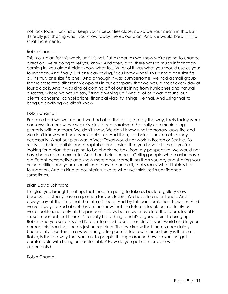not look foolish, or kind of keep your insecurities close, could be your death in this. But it's really just sharing what you know today, here's our plan. And we would break it into small increments.

## Robin Champ:

This is our plan for this week, until it's not. But as soon as we know we're going to change direction, we're going to let you know. And then, also, there was so much information coming in, you almost didn't know what to... What of it was what you should use as your foundation. And finally, just one day saying, "You know what? This is not a one size fits all. It's truly one size fits one." And although it was cumbersome, we had a small group that represented different viewpoints in our company that we would meet every day at four o'clock. And it was kind of coming off of our training from hurricanes and natural disasters, where we would say, "Bring anything up." And a lot of it was around our clients' concerns, cancellations, financial viability, things like that. And using that to bring up anything we didn't know.

## Robin Champ:

Because had we waited until we had all of the facts, that by the way, facts today were nonsense tomorrow, we would've just been paralyzed. So really communicating primarily with our team. We don't know. We don't know what tomorrow looks like and we don't know what next week looks like. And then, not being stuck on efficiency necessarily. What our plan was in West Texas would not work in Boston or Seattle. So really just being flexible and adaptable and saying that you have all times if you're looking for a plan that's going to be check the box, from my perspective, we would not have been able to execute. And then, being honest. Calling people who maybe have a different perspective and know more about something than you do, and sharing your vulnerabilities and your insecurities of how to handle it, that's really what I think is the foundation. And it's kind of counterintuitive to what we think instills confidence sometimes.

# Brian David Johnson:

I'm glad you brought that up, that the... I'm going to take us back to gallery view because I actually have a question for you, Robin. We have to understand... And I always say all the time that the future is local. And by this pandemic has shown us. And we've always talked about this on the show that the future is local, but certainly as we're looking, not only at the pandemic now, but as we move into the future, local is so, so important, but I think it's a really hard thing, and it's a good point to bring up, Robin. And you said this and I'd be interested to see, certainly in your world and in your career, this idea that there's just uncertainty. That we know that there's uncertainty. Uncertainty is certain, in a way, and getting comfortable with uncertainty is there a... Robin, is there a way that you talk to people through around how do you just get comfortable with being uncomfortable? How do you get comfortable with uncertainty?

Robin Champ: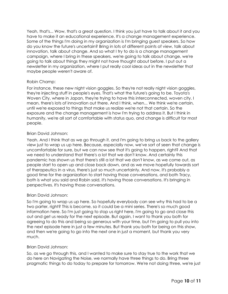Yeah, that's... Wow, that's a great question. I think you just have to talk about it and you have to make it an educational experience. It's a change management experience. Some of the things I'm doing in my organization is I'm bringing guest speakers. So how do you know the future's uncertain? Bring in lots of different points of view, talk about innovation, talk about change. And so what I try to do is a change management campaign, where I bring in these speakers, we're going to talk about change, we're going to talk about things they might not have thought about before. I put out a newsletter in my organization, where I put really cool ideas out in the newsletter that maybe people weren't aware of.

## Robin Champ:

For instance, these new night vision goggles. So they're not really night vision goggles, they're injecting stuff in people's eyes. That's what the future's going to be. Toyota's Woven City, where in Japan, they're trying to have this interconnected, woven city. I mean, there's lots of innovation out there. And I think, when... We think we're certain, until we're exposed to things that make us realize we're not that certain. So the exposure and the change management is how I'm trying to address it. But I think in humanity, we're all sort of comfortable with status quo, and change is difficult for most people.

## Brian David Johnson:

Yeah. And I think that as we go through it, and I'm going to bring us back to the gallery view just to wrap us up here. Because, especially now, we've sort of seen that change is uncomfortable for sure, but we can now see that it's going to happen, right? And that we need to understand that there's a lot that we don't know. And certainly this pandemic has shown us that there's still a lot that we don't know, as we come out, as people start to open up and close back down, and as we move hopefully towards sort of therapeutics in a virus, there's just so much uncertainty. And now, it's probably a good time for the organization to start having those conversations, and both Tracy, both is what you said and Robin said, it's having those conversations. It's bringing in perspectives. It's having those conversations.

#### Brian David Johnson:

So I'm going to wrap us up here. So hopefully everybody can see why this had to be a two parter, right? This is become, so it could be a mini series. There's so much good information here. So I'm just going to stop us right here, I'm going to go and close this out and get us ready for the next episode. But again, I want to thank you both for agreeing to do this and being so generous with your time, but I'm going to pull you into the next episode here in just a few minutes. But thank you both for being on this show, and then we're going to go into the next one in just a moment, but thank you very much.

#### Brian David Johnson:

So, as we go through this, and I wanted to make sure to stay true to the work that we do here on Navigating the Noise, we normally have three things to do. Bring three pragmatic things to do today to prepare for tomorrow. We're not doing three, we're just